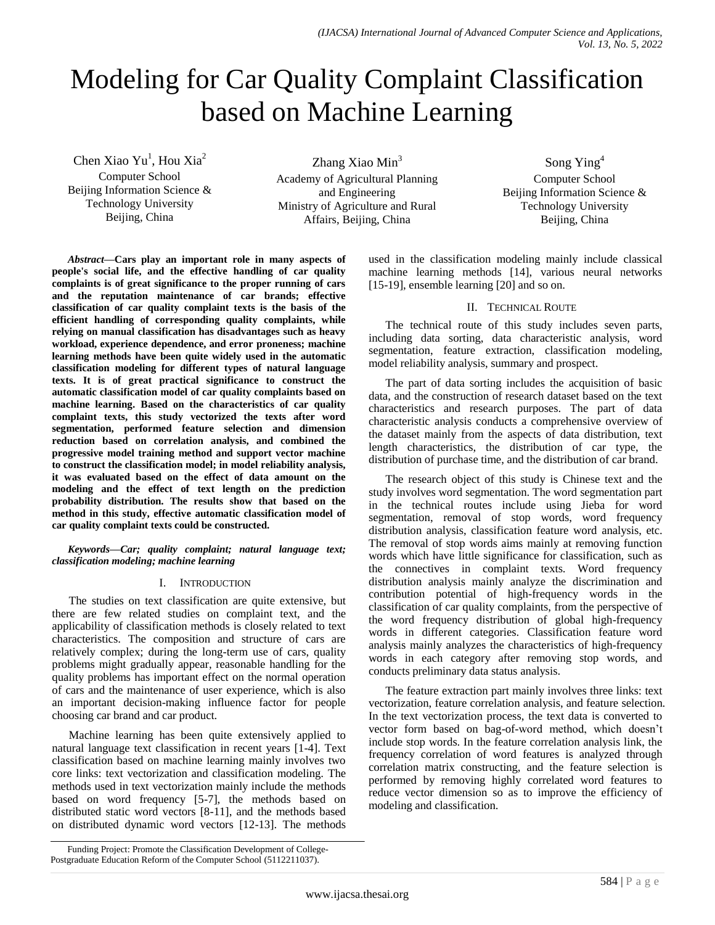# Modeling for Car Quality Complaint Classification based on Machine Learning

Chen Xiao Yu<sup>1</sup>, Hou Xia<sup>2</sup>

Computer School Beijing Information Science & Technology University Beijing, China

Zhang Xiao  $Min<sup>3</sup>$ Academy of Agricultural Planning and Engineering Ministry of Agriculture and Rural Affairs, Beijing, China

Song Ying<sup>4</sup> Computer School Beijing Information Science & Technology University Beijing, China

*Abstract***—Cars play an important role in many aspects of people's social life, and the effective handling of car quality complaints is of great significance to the proper running of cars and the reputation maintenance of car brands; effective classification of car quality complaint texts is the basis of the efficient handling of corresponding quality complaints, while relying on manual classification has disadvantages such as heavy workload, experience dependence, and error proneness; machine learning methods have been quite widely used in the automatic classification modeling for different types of natural language texts. It is of great practical significance to construct the automatic classification model of car quality complaints based on machine learning. Based on the characteristics of car quality complaint texts, this study vectorized the texts after word segmentation, performed feature selection and dimension reduction based on correlation analysis, and combined the progressive model training method and support vector machine to construct the classification model; in model reliability analysis, it was evaluated based on the effect of data amount on the modeling and the effect of text length on the prediction probability distribution. The results show that based on the method in this study, effective automatic classification model of car quality complaint texts could be constructed.**

*Keywords—Car; quality complaint; natural language text; classification modeling; machine learning*

### I. INTRODUCTION

The studies on text classification are quite extensive, but there are few related studies on complaint text, and the applicability of classification methods is closely related to text characteristics. The composition and structure of cars are relatively complex; during the long-term use of cars, quality problems might gradually appear, reasonable handling for the quality problems has important effect on the normal operation of cars and the maintenance of user experience, which is also an important decision-making influence factor for people choosing car brand and car product.

Machine learning has been quite extensively applied to natural language text classification in recent years [1-4]. Text classification based on machine learning mainly involves two core links: text vectorization and classification modeling. The methods used in text vectorization mainly include the methods based on word frequency [5-7], the methods based on distributed static word vectors [8-11], and the methods based on distributed dynamic word vectors [12-13]. The methods

used in the classification modeling mainly include classical machine learning methods [14], various neural networks [15-19], ensemble learning [20] and so on.

### II. TECHNICAL ROUTE

The technical route of this study includes seven parts, including data sorting, data characteristic analysis, word segmentation, feature extraction, classification modeling, model reliability analysis, summary and prospect.

The part of data sorting includes the acquisition of basic data, and the construction of research dataset based on the text characteristics and research purposes. The part of data characteristic analysis conducts a comprehensive overview of the dataset mainly from the aspects of data distribution, text length characteristics, the distribution of car type, the distribution of purchase time, and the distribution of car brand.

The research object of this study is Chinese text and the study involves word segmentation. The word segmentation part in the technical routes include using Jieba for word segmentation, removal of stop words, word frequency distribution analysis, classification feature word analysis, etc. The removal of stop words aims mainly at removing function words which have little significance for classification, such as the connectives in complaint texts. Word frequency distribution analysis mainly analyze the discrimination and contribution potential of high-frequency words in the classification of car quality complaints, from the perspective of the word frequency distribution of global high-frequency words in different categories. Classification feature word analysis mainly analyzes the characteristics of high-frequency words in each category after removing stop words, and conducts preliminary data status analysis.

The feature extraction part mainly involves three links: text vectorization, feature correlation analysis, and feature selection. In the text vectorization process, the text data is converted to vector form based on bag-of-word method, which doesn't include stop words. In the feature correlation analysis link, the frequency correlation of word features is analyzed through correlation matrix constructing, and the feature selection is performed by removing highly correlated word features to reduce vector dimension so as to improve the efficiency of modeling and classification.

Funding Project: Promote the Classification Development of College-Postgraduate Education Reform of the Computer School (5112211037).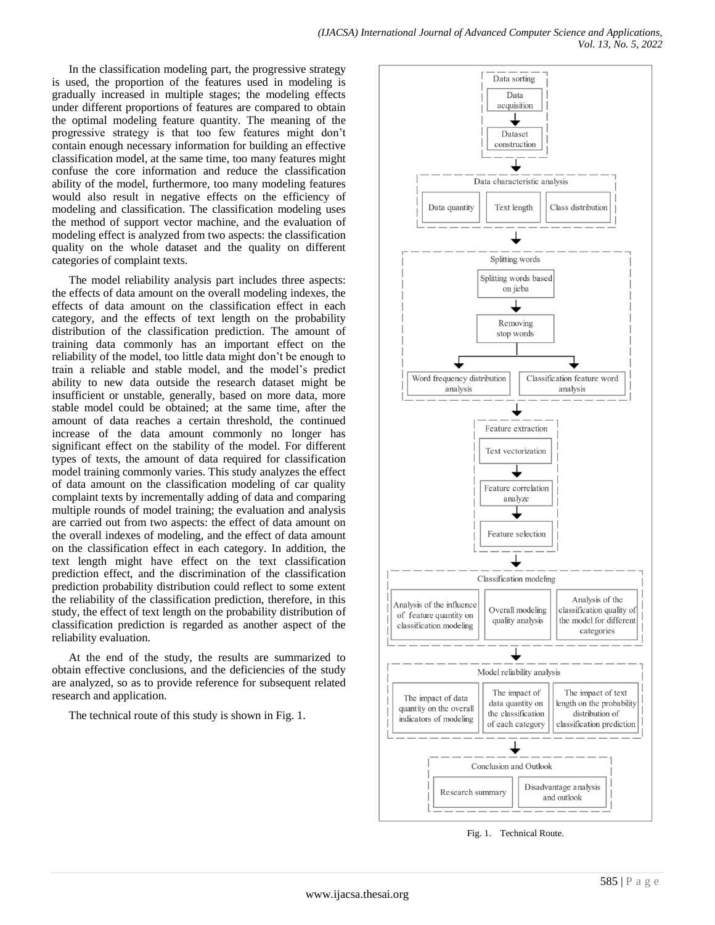In the classification modeling part, the progressive strategy is used, the proportion of the features used in modeling is gradually increased in multiple stages; the modeling effects under different proportions of features are compared to obtain the optimal modeling feature quantity. The meaning of the progressive strategy is that too few features might don't contain enough necessary information for building an effective classification model, at the same time, too many features might confuse the core information and reduce the classification ability of the model, furthermore, too many modeling features would also result in negative effects on the efficiency of modeling and classification. The classification modeling uses the method of support vector machine, and the evaluation of modeling effect is analyzed from two aspects: the classification quality on the whole dataset and the quality on different categories of complaint texts.

The model reliability analysis part includes three aspects: the effects of data amount on the overall modeling indexes, the effects of data amount on the classification effect in each category, and the effects of text length on the probability distribution of the classification prediction. The amount of training data commonly has an important effect on the reliability of the model, too little data might don't be enough to train a reliable and stable model, and the model's predict ability to new data outside the research dataset might be insufficient or unstable, generally, based on more data, more stable model could be obtained; at the same time, after the amount of data reaches a certain threshold, the continued increase of the data amount commonly no longer has significant effect on the stability of the model. For different types of texts, the amount of data required for classification model training commonly varies. This study analyzes the effect of data amount on the classification modeling of car quality complaint texts by incrementally adding of data and comparing multiple rounds of model training; the evaluation and analysis are carried out from two aspects: the effect of data amount on the overall indexes of modeling, and the effect of data amount on the classification effect in each category. In addition, the text length might have effect on the text classification prediction effect, and the discrimination of the classification prediction probability distribution could reflect to some extent the reliability of the classification prediction, therefore, in this study, the effect of text length on the probability distribution of classification prediction is regarded as another aspect of the reliability evaluation.

At the end of the study, the results are summarized to obtain effective conclusions, and the deficiencies of the study are analyzed, so as to provide reference for subsequent related research and application.

The technical route of this study is shown in Fig. 1.



Fig. 1. Technical Route.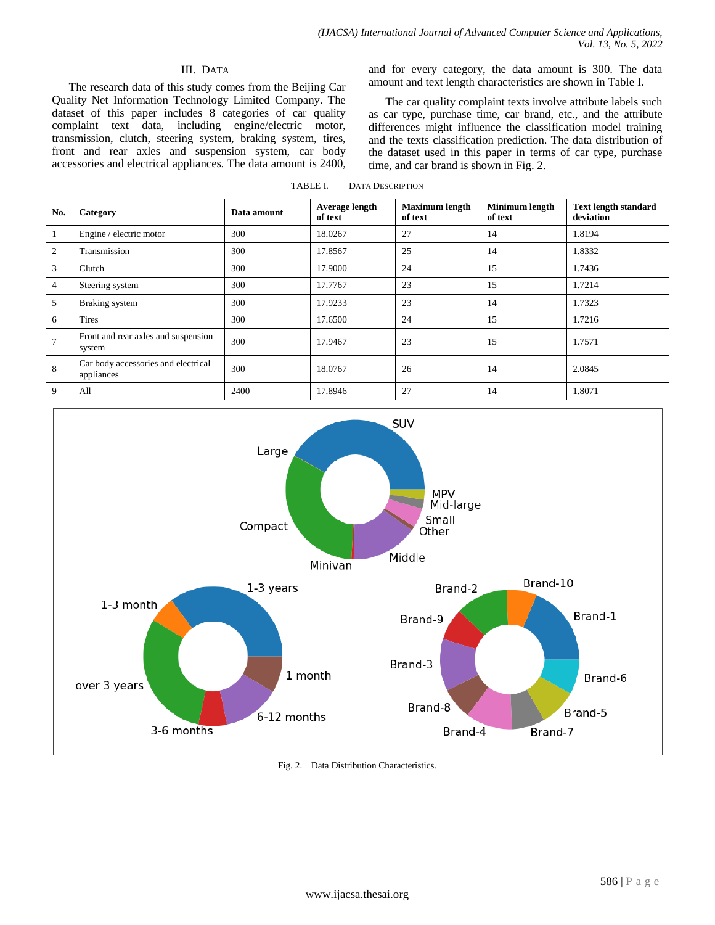# III. DATA

The research data of this study comes from the Beijing Car Quality Net Information Technology Limited Company. The dataset of this paper includes 8 categories of car quality complaint text data, including engine/electric motor, transmission, clutch, steering system, braking system, tires, front and rear axles and suspension system, car body accessories and electrical appliances. The data amount is 2400, and for every category, the data amount is 300. The data amount and text length characteristics are shown in Table Ⅰ.

The car quality complaint texts involve attribute labels such as car type, purchase time, car brand, etc., and the attribute differences might influence the classification model training and the texts classification prediction. The data distribution of the dataset used in this paper in terms of car type, purchase time, and car brand is shown in Fig. 2.

TABLE I. DATA DESCRIPTION

| No.            | Category                                          | Data amount | Average length<br>of text | <b>Maximum length</b><br>of text | Minimum length<br>of text | <b>Text length standard</b><br>deviation |
|----------------|---------------------------------------------------|-------------|---------------------------|----------------------------------|---------------------------|------------------------------------------|
| -1             | Engine / electric motor                           | 300         | 18.0267                   | 27                               | 14                        | 1.8194                                   |
| $\mathfrak{2}$ | Transmission                                      | 300         | 17.8567                   | 25                               | 14                        | 1.8332                                   |
| 3              | Clutch                                            | 300         | 17.9000                   | 24                               | 15                        | 1.7436                                   |
| $\overline{4}$ | Steering system                                   | 300         | 17.7767                   | 23                               | 15                        | 1.7214                                   |
| 5              | Braking system                                    | 300         | 17.9233                   | 23                               | 14                        | 1.7323                                   |
| 6              | <b>Tires</b>                                      | 300         | 17.6500                   | 24                               | 15                        | 1.7216                                   |
| 7              | Front and rear axles and suspension<br>system     | 300         | 17.9467                   | 23                               | 15                        | 1.7571                                   |
| 8              | Car body accessories and electrical<br>appliances | 300         | 18.0767                   | 26                               | 14                        | 2.0845                                   |
| 9              | All                                               | 2400        | 17.8946                   | 27                               | 14                        | 1.8071                                   |



Fig. 2. Data Distribution Characteristics.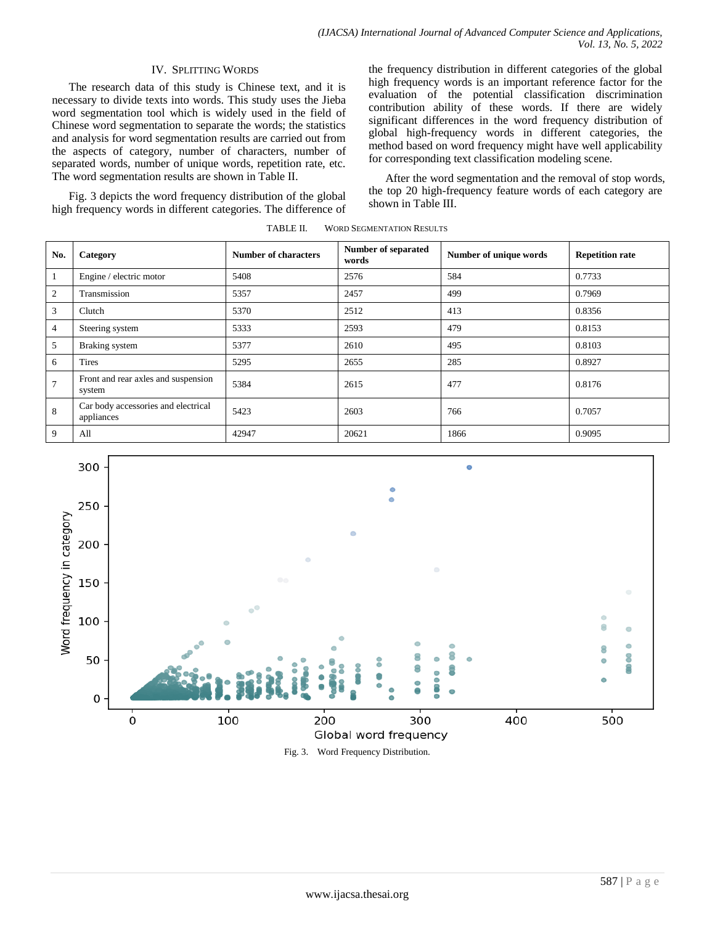# IV. SPLITTING WORDS

The research data of this study is Chinese text, and it is necessary to divide texts into words. This study uses the Jieba word segmentation tool which is widely used in the field of Chinese word segmentation to separate the words; the statistics and analysis for word segmentation results are carried out from the aspects of category, number of characters, number of separated words, number of unique words, repetition rate, etc. The word segmentation results are shown in Table Ⅱ.

Fig. 3 depicts the word frequency distribution of the global high frequency words in different categories. The difference of the frequency distribution in different categories of the global high frequency words is an important reference factor for the evaluation of the potential classification discrimination contribution ability of these words. If there are widely significant differences in the word frequency distribution of global high-frequency words in different categories, the method based on word frequency might have well applicability for corresponding text classification modeling scene.

After the word segmentation and the removal of stop words, the top 20 high-frequency feature words of each category are shown in Table Ⅲ.

| No.            | Category                                          | Number of characters | <b>Number of separated</b><br>words | Number of unique words | <b>Repetition rate</b> |
|----------------|---------------------------------------------------|----------------------|-------------------------------------|------------------------|------------------------|
| -1             | Engine / electric motor                           | 5408                 | 2576                                | 584                    | 0.7733                 |
| 2              | Transmission                                      | 5357                 | 2457                                | 499                    | 0.7969                 |
| 3              | Clutch                                            | 5370                 | 2512                                | 413                    | 0.8356                 |
| $\overline{4}$ | Steering system                                   | 5333                 | 2593                                | 479                    | 0.8153                 |
| 5              | Braking system                                    | 5377                 | 2610                                | 495                    | 0.8103                 |
| 6              | <b>Tires</b>                                      | 5295                 | 2655                                | 285                    | 0.8927                 |
| $\overline{7}$ | Front and rear axles and suspension<br>system     | 5384                 | 2615                                | 477                    | 0.8176                 |
| 8              | Car body accessories and electrical<br>appliances | 5423                 | 2603                                | 766                    | 0.7057                 |
| 9              | All                                               | 42947                | 20621                               | 1866                   | 0.9095                 |

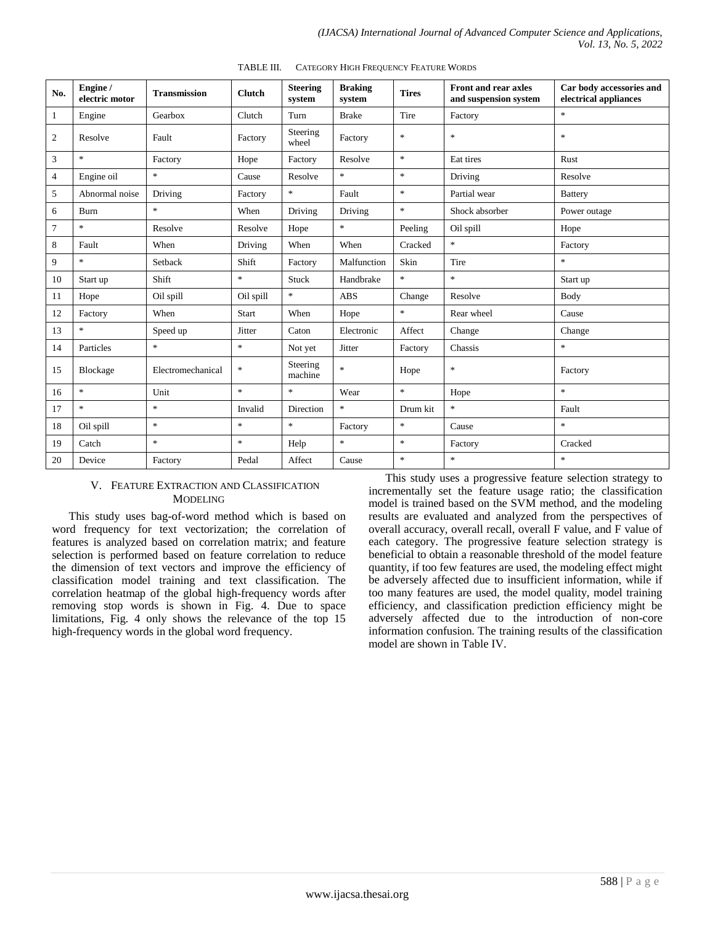| No.            | Engine /<br>electric motor | <b>Transmission</b>               | <b>Clutch</b>                     | <b>Steering</b><br>system | <b>Braking</b><br>system          | <b>Tires</b>                      | <b>Front and rear axles</b><br>and suspension system | Car body accessories and<br>electrical appliances |
|----------------|----------------------------|-----------------------------------|-----------------------------------|---------------------------|-----------------------------------|-----------------------------------|------------------------------------------------------|---------------------------------------------------|
| $\mathbf{1}$   | Engine                     | Gearbox                           | Clutch                            | Turn                      | <b>Brake</b>                      | Tire                              | Factory                                              | $\ast$                                            |
| $\mathfrak{2}$ | Resolve                    | Fault                             | Factory                           | Steering<br>wheel         | Factory                           | $\frac{1}{2}$                     | $\ast$                                               | $\ast$                                            |
| 3              | $\ast$                     | Factory                           | Hope                              | Factory                   | Resolve                           | $\frac{d\mathbf{r}}{d\mathbf{r}}$ | Eat tires                                            | Rust                                              |
| 4              | Engine oil                 | $\frac{d\mathbf{x}}{d\mathbf{x}}$ | Cause                             | Resolve                   | $\frac{d\mathbf{x}}{d\mathbf{x}}$ | $\ast$                            | Driving                                              | Resolve                                           |
| 5              | Abnormal noise             | Driving                           | Factory                           | $\ast$                    | Fault                             | $\frac{d\mathbf{r}}{d\mathbf{r}}$ | Partial wear                                         | <b>Battery</b>                                    |
| 6              | Burn                       | $\frac{d\mathbf{x}}{d\mathbf{x}}$ | When                              | Driving                   | Driving                           | $\frac{d\mathbf{r}}{d\mathbf{r}}$ | Shock absorber                                       | Power outage                                      |
| 7              | $\ast$                     | Resolve                           | Resolve                           | Hope                      | $\frac{1}{2}$                     | Peeling                           | Oil spill                                            | Hope                                              |
| 8              | Fault                      | When                              | Driving                           | When                      | When                              | Cracked                           | $\ast$                                               | Factory                                           |
| 9              | $\ast$                     | Setback                           | Shift                             | Factory                   | Malfunction                       | Skin                              | Tire                                                 | $\ast$                                            |
| 10             | Start up                   | Shift                             | $\frac{d\mathbf{x}}{d\mathbf{x}}$ | Stuck                     | Handbrake                         | $\mathcal{R}^{\pm}$               | $\pm$                                                | Start up                                          |
| 11             | Hope                       | Oil spill                         | Oil spill                         | $\ast$                    | <b>ABS</b>                        | Change                            | Resolve                                              | Body                                              |
| 12             | Factory                    | When                              | <b>Start</b>                      | When                      | Hope                              | $\frac{1}{2}$                     | Rear wheel                                           | Cause                                             |
| 13             | $\ast$                     | Speed up                          | Jitter                            | Caton                     | Electronic                        | Affect                            | Change                                               | Change                                            |
| 14             | Particles                  | $\frac{d\mathbf{x}}{d\mathbf{x}}$ | $\frac{1}{2}$                     | Not yet                   | Jitter                            | Factory                           | Chassis                                              | $\ast$                                            |
| 15             | Blockage                   | Electromechanical                 | $\frac{1}{2}$                     | Steering<br>machine       | $\frac{d\mathbf{r}}{dt}$          | Hope                              | $\ast$                                               | Factory                                           |
| 16             | $\ast$                     | Unit                              | $\mathbf{g}_\mathrm{c}$           | $\ast$                    | Wear                              | $\ast$                            | Hope                                                 | $\ast$                                            |
| 17             | $\ast$                     | $\frac{d\mathbf{x}}{d\mathbf{x}}$ | Invalid                           | Direction                 | $\frac{1}{2}$                     | Drum kit                          | $\pm$                                                | Fault                                             |
| 18             | Oil spill                  | $\frac{d\mathbf{x}}{d\mathbf{x}}$ | $\frac{1}{2}$                     | $\ast$                    | Factory                           | $\star$                           | Cause                                                | $\ast$                                            |
| 19             | Catch                      | $\frac{1}{2}$                     | $\frac{d\mathbf{x}}{d\mathbf{x}}$ | Help                      | $\frac{d\mathbf{r}}{dt}$          | $\frac{1}{2}$                     | Factory                                              | Cracked                                           |
| 20             | Device                     | Factory                           | Pedal                             | Affect                    | Cause                             | $\frac{d\mathbf{x}}{d\mathbf{x}}$ | $\mathcal{R}$                                        | $\ast$                                            |

TABLE III. CATEGORY HIGH FREQUENCY FEATURE WORDS

#### V. FEATURE EXTRACTION AND CLASSIFICATION MODELING

This study uses bag-of-word method which is based on word frequency for text vectorization; the correlation of features is analyzed based on correlation matrix; and feature selection is performed based on feature correlation to reduce the dimension of text vectors and improve the efficiency of classification model training and text classification. The correlation heatmap of the global high-frequency words after removing stop words is shown in Fig. 4. Due to space limitations, Fig. 4 only shows the relevance of the top 15 high-frequency words in the global word frequency.

This study uses a progressive feature selection strategy to incrementally set the feature usage ratio; the classification model is trained based on the SVM method, and the modeling results are evaluated and analyzed from the perspectives of overall accuracy, overall recall, overall F value, and F value of each category. The progressive feature selection strategy is beneficial to obtain a reasonable threshold of the model feature quantity, if too few features are used, the modeling effect might be adversely affected due to insufficient information, while if too many features are used, the model quality, model training efficiency, and classification prediction efficiency might be adversely affected due to the introduction of non-core information confusion. The training results of the classification model are shown in Table Ⅳ.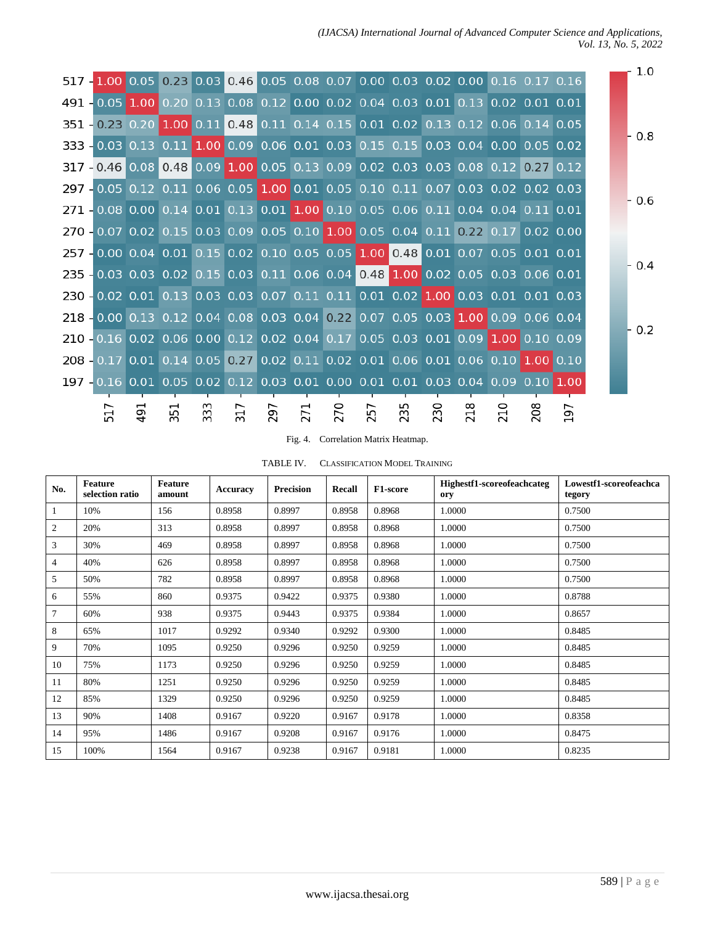*(IJACSA) International Journal of Advanced Computer Science and Applications, Vol. 13, No. 5, 2022*

|                                                                                  |   |   |    |    |    |    |                   |    |                          |                          |     |                               | 1.0   |
|----------------------------------------------------------------------------------|---|---|----|----|----|----|-------------------|----|--------------------------|--------------------------|-----|-------------------------------|-------|
| 517 - 1.00 0.05 0.23 0.03 0.46 0.05 0.08 0.07 0.00 0.03 0.02 0.00 0.16 0.17 0.16 |   |   |    |    |    |    |                   |    |                          |                          |     |                               |       |
| 491 -0.05 1.00 0.20 0.13 0.08 0.12 0.00 0.02 0.04 0.03 0.01 0.13 0.02 0.01 0.01  |   |   |    |    |    |    |                   |    |                          |                          |     |                               |       |
| 351 - 0.23 0.20 1.00 0.11 0.48 0.11 0.14 0.15 0.01 0.02 0.13 0.12 0.06 0.14 0.05 |   |   |    |    |    |    |                   |    |                          |                          |     |                               |       |
| 333 - 0.03 0.13 0.11 1.00 0.09 0.06 0.01 0.03 0.15 0.15 0.03 0.04 0.00 0.05 0.02 |   |   |    |    |    |    |                   |    |                          |                          |     |                               | - 0.8 |
| 317 - 0.46 0.08 0.48 0.09 1.00 0.05 0.13 0.09 0.02 0.03 0.03 0.08 0.12 0.27 0.12 |   |   |    |    |    |    |                   |    |                          |                          |     |                               |       |
| 297 - 0.05 0.12 0.11 0.06 0.05 1.00 0.01 0.05 0.10 0.11 0.07 0.03 0.02 0.02 0.03 |   |   |    |    |    |    |                   |    |                          |                          |     |                               |       |
| 271 - 0.08 0.00 0.14 0.01 0.13 0.01 1.00 0.10 0.05 0.06 0.11 0.04 0.04 0.11 0.01 |   |   |    |    |    |    |                   |    |                          |                          |     |                               | - 0.6 |
| 270 - 0.07 0.02 0.15 0.03 0.09 0.05 0.10 1.00 0.05 0.04 0.11 0.22 0.17 0.02 0.00 |   |   |    |    |    |    |                   |    |                          |                          |     |                               |       |
| 257 - 0.00 0.04 0.01 0.15 0.02 0.10 0.05 0.05 1.00 0.48 0.01 0.07 0.05 0.01 0.01 |   |   |    |    |    |    |                   |    |                          |                          |     |                               |       |
| 235 - 0.03 0.03 0.02 0.15 0.03 0.11 0.06 0.04 0.48 1.00 0.02 0.05 0.03 0.06 0.01 |   |   |    |    |    |    |                   |    |                          |                          |     |                               | - 0.4 |
| 230 - 0.02 0.01 0.13 0.03 0.03 0.07 0.11 0.11 0.01 0.02 1.00 0.03 0.01 0.01 0.03 |   |   |    |    |    |    |                   |    |                          |                          |     |                               |       |
| 218 - 0.00 0.13 0.12 0.04 0.08 0.03 0.04 0.22 0.07 0.05 0.03 1.00 0.09 0.06 0.04 |   |   |    |    |    |    |                   |    |                          |                          |     |                               |       |
| 210 -0.16 0.02 0.06 0.00 0.12 0.02 0.04 0.17 0.05 0.03 0.01 0.09 1.00 0.10 0.09  |   |   |    |    |    |    |                   |    |                          |                          |     |                               | 0.2   |
| 208 - 0.17 0.01 0.14 0.05 0.27 0.02 0.11 0.02 0.01 0.06 0.01 0.06 0.10 1.00 0.10 |   |   |    |    |    |    |                   |    |                          |                          |     |                               |       |
| 197 - 0.16 0.01 0.05 0.02 0.12 0.03 0.01 0.00 0.01 0.01 0.03 0.04 0.09 0.10 1.00 |   |   |    |    |    |    |                   |    |                          |                          |     |                               |       |
|                                                                                  |   |   |    |    |    |    |                   |    |                          |                          |     |                               |       |
|                                                                                  | 5 | ო | 29 | 27 | 27 | 25 | ഗ<br>$\mathsf{m}$ | 23 | $\overline{\phantom{0}}$ | $\overline{\phantom{0}}$ | 208 | $\overline{\phantom{0}}$<br>G |       |
|                                                                                  |   |   |    |    |    |    |                   |    |                          |                          |     |                               |       |

# Fig. 4. Correlation Matrix Heatmap.

TABLE IV. CLASSIFICATION MODEL TRAINING

| No. | <b>Feature</b><br>selection ratio | Feature<br>amount | <b>Accuracy</b> | <b>Precision</b> | Recall | F1-score | Highestf1-scoreofeachcateg<br>ory | Lowestf1-scoreofeachca<br>tegory |
|-----|-----------------------------------|-------------------|-----------------|------------------|--------|----------|-----------------------------------|----------------------------------|
|     | 10%                               | 156               | 0.8958          | 0.8997           | 0.8958 | 0.8968   | 1.0000                            | 0.7500                           |
| 2   | 20%                               | 313               | 0.8958          | 0.8997           | 0.8958 | 0.8968   | 1.0000                            | 0.7500                           |
| 3   | 30%                               | 469               | 0.8958          | 0.8997           | 0.8958 | 0.8968   | 1.0000                            | 0.7500                           |
| 4   | 40%                               | 626               | 0.8958          | 0.8997           | 0.8958 | 0.8968   | 1.0000                            | 0.7500                           |
| 5   | 50%                               | 782               | 0.8958          | 0.8997           | 0.8958 | 0.8968   | 1.0000                            | 0.7500                           |
| 6   | 55%                               | 860               | 0.9375          | 0.9422           | 0.9375 | 0.9380   | 1.0000                            | 0.8788                           |
| 7   | 60%                               | 938               | 0.9375          | 0.9443           | 0.9375 | 0.9384   | 1.0000                            | 0.8657                           |
| 8   | 65%                               | 1017              | 0.9292          | 0.9340           | 0.9292 | 0.9300   | 1.0000                            | 0.8485                           |
| 9   | 70%                               | 1095              | 0.9250          | 0.9296           | 0.9250 | 0.9259   | 1.0000                            | 0.8485                           |
| 10  | 75%                               | 1173              | 0.9250          | 0.9296           | 0.9250 | 0.9259   | 1.0000                            | 0.8485                           |
| 11  | 80%                               | 1251              | 0.9250          | 0.9296           | 0.9250 | 0.9259   | 1.0000                            | 0.8485                           |
| 12  | 85%                               | 1329              | 0.9250          | 0.9296           | 0.9250 | 0.9259   | 1.0000                            | 0.8485                           |
| 13  | 90%                               | 1408              | 0.9167          | 0.9220           | 0.9167 | 0.9178   | 1.0000                            | 0.8358                           |
| 14  | 95%                               | 1486              | 0.9167          | 0.9208           | 0.9167 | 0.9176   | 1.0000                            | 0.8475                           |
| 15  | 100%                              | 1564              | 0.9167          | 0.9238           | 0.9167 | 0.9181   | 1.0000                            | 0.8235                           |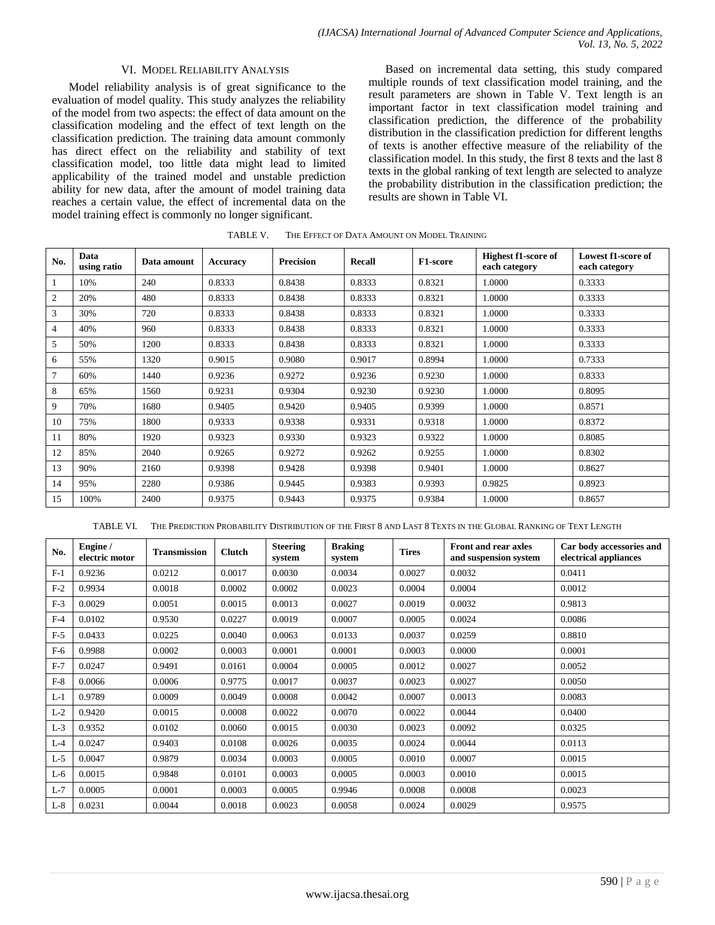#### VI. MODEL RELIABILITY ANALYSIS

Model reliability analysis is of great significance to the evaluation of model quality. This study analyzes the reliability of the model from two aspects: the effect of data amount on the classification modeling and the effect of text length on the classification prediction. The training data amount commonly has direct effect on the reliability and stability of text classification model, too little data might lead to limited applicability of the trained model and unstable prediction ability for new data, after the amount of model training data reaches a certain value, the effect of incremental data on the model training effect is commonly no longer significant.

Based on incremental data setting, this study compared multiple rounds of text classification model training, and the result parameters are shown in Table Ⅴ. Text length is an important factor in text classification model training and classification prediction, the difference of the probability distribution in the classification prediction for different lengths of texts is another effective measure of the reliability of the classification model. In this study, the first 8 texts and the last 8 texts in the global ranking of text length are selected to analyze the probability distribution in the classification prediction; the results are shown in Table Ⅵ.

| No. | Data<br>using ratio | Data amount | <b>Accuracy</b> | <b>Precision</b> | <b>Recall</b> | F1-score | <b>Highest f1-score of</b><br>each category | Lowest f1-score of<br>each category |
|-----|---------------------|-------------|-----------------|------------------|---------------|----------|---------------------------------------------|-------------------------------------|
|     | 10%                 | 240         | 0.8333          | 0.8438           | 0.8333        | 0.8321   | 1.0000                                      | 0.3333                              |
| 2   | 20%                 | 480         | 0.8333          | 0.8438           | 0.8333        | 0.8321   | 1.0000                                      | 0.3333                              |
| 3   | 30%                 | 720         | 0.8333          | 0.8438           | 0.8333        | 0.8321   | 1.0000                                      | 0.3333                              |
| 4   | 40%                 | 960         | 0.8333          | 0.8438           | 0.8333        | 0.8321   | 1.0000                                      | 0.3333                              |
| 5   | 50%                 | 1200        | 0.8333          | 0.8438           | 0.8333        | 0.8321   | 1.0000                                      | 0.3333                              |
| 6   | 55%                 | 1320        | 0.9015          | 0.9080           | 0.9017        | 0.8994   | 1.0000                                      | 0.7333                              |
| 7   | 60%                 | 1440        | 0.9236          | 0.9272           | 0.9236        | 0.9230   | 1.0000                                      | 0.8333                              |
| 8   | 65%                 | 1560        | 0.9231          | 0.9304           | 0.9230        | 0.9230   | 1.0000                                      | 0.8095                              |
| 9   | 70%                 | 1680        | 0.9405          | 0.9420           | 0.9405        | 0.9399   | 1.0000                                      | 0.8571                              |
| 10  | 75%                 | 1800        | 0.9333          | 0.9338           | 0.9331        | 0.9318   | 1.0000                                      | 0.8372                              |
| 11  | 80%                 | 1920        | 0.9323          | 0.9330           | 0.9323        | 0.9322   | 1.0000                                      | 0.8085                              |
| 12  | 85%                 | 2040        | 0.9265          | 0.9272           | 0.9262        | 0.9255   | 1.0000                                      | 0.8302                              |
| 13  | 90%                 | 2160        | 0.9398          | 0.9428           | 0.9398        | 0.9401   | 1.0000                                      | 0.8627                              |
| 14  | 95%                 | 2280        | 0.9386          | 0.9445           | 0.9383        | 0.9393   | 0.9825                                      | 0.8923                              |
| 15  | 100%                | 2400        | 0.9375          | 0.9443           | 0.9375        | 0.9384   | 1.0000                                      | 0.8657                              |

TABLE V. THE EFFECT OF DATA AMOUNT ON MODEL TRAINING

TABLE VI. THE PREDICTION PROBABILITY DISTRIBUTION OF THE FIRST 8 AND LAST 8 TEXTS IN THE GLOBAL RANKING OF TEXT LENGTH

| No.   | Engine /<br>electric motor | <b>Transmission</b> | <b>Clutch</b> | <b>Steering</b><br>system | <b>Braking</b><br>system | <b>Tires</b> | <b>Front and rear axles</b><br>and suspension system | Car body accessories and<br>electrical appliances |
|-------|----------------------------|---------------------|---------------|---------------------------|--------------------------|--------------|------------------------------------------------------|---------------------------------------------------|
| $F-1$ | 0.9236                     | 0.0212              | 0.0017        | 0.0030                    | 0.0034                   | 0.0027       | 0.0032                                               | 0.0411                                            |
| $F-2$ | 0.9934                     | 0.0018              | 0.0002        | 0.0002                    | 0.0023                   | 0.0004       | 0.0004                                               | 0.0012                                            |
| $F-3$ | 0.0029                     | 0.0051              | 0.0015        | 0.0013                    | 0.0027                   | 0.0019       | 0.0032                                               | 0.9813                                            |
| $F-4$ | 0.0102                     | 0.9530              | 0.0227        | 0.0019                    | 0.0007                   | 0.0005       | 0.0024                                               | 0.0086                                            |
| $F-5$ | 0.0433                     | 0.0225              | 0.0040        | 0.0063                    | 0.0133                   | 0.0037       | 0.0259                                               | 0.8810                                            |
| $F-6$ | 0.9988                     | 0.0002              | 0.0003        | 0.0001                    | 0.0001                   | 0.0003       | 0.0000                                               | 0.0001                                            |
| $F-7$ | 0.0247                     | 0.9491              | 0.0161        | 0.0004                    | 0.0005                   | 0.0012       | 0.0027                                               | 0.0052                                            |
| $F-8$ | 0.0066                     | 0.0006              | 0.9775        | 0.0017                    | 0.0037                   | 0.0023       | 0.0027                                               | 0.0050                                            |
| $L-1$ | 0.9789                     | 0.0009              | 0.0049        | 0.0008                    | 0.0042                   | 0.0007       | 0.0013                                               | 0.0083                                            |
| $L-2$ | 0.9420                     | 0.0015              | 0.0008        | 0.0022                    | 0.0070                   | 0.0022       | 0.0044                                               | 0.0400                                            |
| $L-3$ | 0.9352                     | 0.0102              | 0.0060        | 0.0015                    | 0.0030                   | 0.0023       | 0.0092                                               | 0.0325                                            |
| $L-4$ | 0.0247                     | 0.9403              | 0.0108        | 0.0026                    | 0.0035                   | 0.0024       | 0.0044                                               | 0.0113                                            |
| $L-5$ | 0.0047                     | 0.9879              | 0.0034        | 0.0003                    | 0.0005                   | 0.0010       | 0.0007                                               | 0.0015                                            |
| $L-6$ | 0.0015                     | 0.9848              | 0.0101        | 0.0003                    | 0.0005                   | 0.0003       | 0.0010                                               | 0.0015                                            |
| $L-7$ | 0.0005                     | 0.0001              | 0.0003        | 0.0005                    | 0.9946                   | 0.0008       | 0.0008                                               | 0.0023                                            |
| $L-8$ | 0.0231                     | 0.0044              | 0.0018        | 0.0023                    | 0.0058                   | 0.0024       | 0.0029                                               | 0.9575                                            |